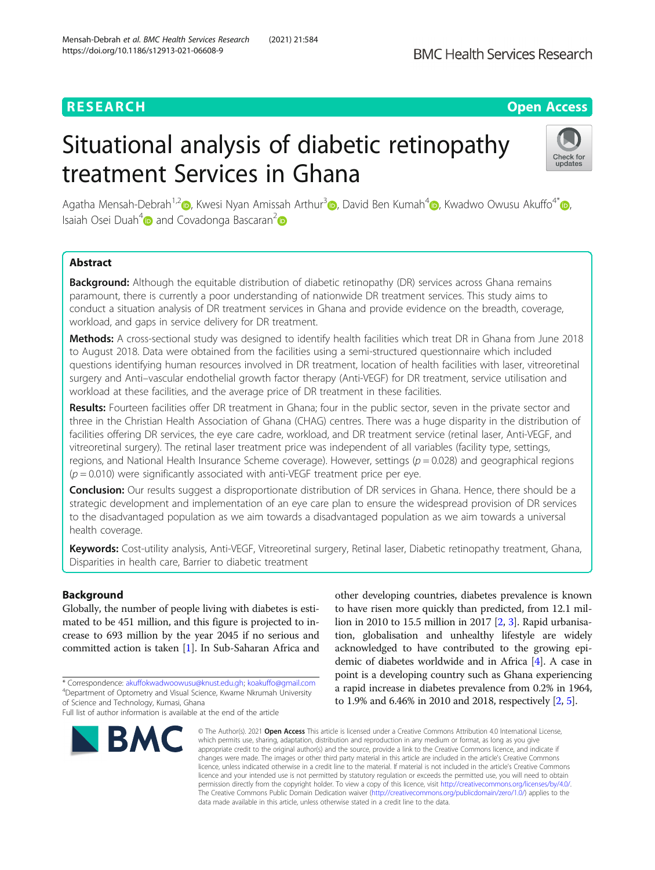# **RESEARCH CHEAR CHEAR CHEAR CHEAR CHEAR CHEAR CHEAR CHEAR CHEAR CHEAR CHEAR CHEAR CHEAR CHEAR CHEAR CHEAR CHEAR**

# Situational analysis of diabetic retinopathy treatment Services in Ghana



Agatha Mensah-Debrah<sup>1[,](https://orcid.org/0000-0003-2018-2043)2</sup> , Kwesi Nyan Amissah Arthur<sup>3</sup> , David Ben Kumah<sup>4</sup> , Kwadwo Owusu Akuffo<sup>4[\\*](https://orcid.org/0000-0001-6683-249X)</sup> , Isaiah Osei Duah<sup>[4](https://orcid.org/0000-0003-4501-8602)</sup> and Covadonga Bascaran<sup>[2](https://orcid.org/0000-0002-5662-3325)</sup> and

### Abstract

Background: Although the equitable distribution of diabetic retinopathy (DR) services across Ghana remains paramount, there is currently a poor understanding of nationwide DR treatment services. This study aims to conduct a situation analysis of DR treatment services in Ghana and provide evidence on the breadth, coverage, workload, and gaps in service delivery for DR treatment.

Methods: A cross-sectional study was designed to identify health facilities which treat DR in Ghana from June 2018 to August 2018. Data were obtained from the facilities using a semi-structured questionnaire which included questions identifying human resources involved in DR treatment, location of health facilities with laser, vitreoretinal surgery and Anti–vascular endothelial growth factor therapy (Anti-VEGF) for DR treatment, service utilisation and workload at these facilities, and the average price of DR treatment in these facilities.

Results: Fourteen facilities offer DR treatment in Ghana; four in the public sector, seven in the private sector and three in the Christian Health Association of Ghana (CHAG) centres. There was a huge disparity in the distribution of facilities offering DR services, the eye care cadre, workload, and DR treatment service (retinal laser, Anti-VEGF, and vitreoretinal surgery). The retinal laser treatment price was independent of all variables (facility type, settings, regions, and National Health Insurance Scheme coverage). However, settings ( $p = 0.028$ ) and geographical regions  $(p = 0.010)$  were significantly associated with anti-VEGF treatment price per eye.

Conclusion: Our results suggest a disproportionate distribution of DR services in Ghana. Hence, there should be a strategic development and implementation of an eye care plan to ensure the widespread provision of DR services to the disadvantaged population as we aim towards a disadvantaged population as we aim towards a universal health coverage.

Keywords: Cost-utility analysis, Anti-VEGF, Vitreoretinal surgery, Retinal laser, Diabetic retinopathy treatment, Ghana, Disparities in health care, Barrier to diabetic treatment

### Background

Globally, the number of people living with diabetes is estimated to be 451 million, and this figure is projected to increase to 693 million by the year 2045 if no serious and committed action is taken [\[1\]](#page-10-0). In Sub-Saharan Africa and

Full list of author information is available at the end of the article



other developing countries, diabetes prevalence is known to have risen more quickly than predicted, from 12.1 million in 2010 to 15.5 million in 2017 [[2,](#page-10-0) [3](#page-10-0)]. Rapid urbanisation, globalisation and unhealthy lifestyle are widely acknowledged to have contributed to the growing epidemic of diabetes worldwide and in Africa [\[4](#page-10-0)]. A case in point is a developing country such as Ghana experiencing a rapid increase in diabetes prevalence from 0.2% in 1964, to 1.9% and 6.46% in 2010 and 2018, respectively [[2,](#page-10-0) [5](#page-10-0)].

© The Author(s), 2021 **Open Access** This article is licensed under a Creative Commons Attribution 4.0 International License, which permits use, sharing, adaptation, distribution and reproduction in any medium or format, as long as you give appropriate credit to the original author(s) and the source, provide a link to the Creative Commons licence, and indicate if changes were made. The images or other third party material in this article are included in the article's Creative Commons licence, unless indicated otherwise in a credit line to the material. If material is not included in the article's Creative Commons licence and your intended use is not permitted by statutory regulation or exceeds the permitted use, you will need to obtain permission directly from the copyright holder. To view a copy of this licence, visit [http://creativecommons.org/licenses/by/4.0/.](http://creativecommons.org/licenses/by/4.0/) The Creative Commons Public Domain Dedication waiver [\(http://creativecommons.org/publicdomain/zero/1.0/](http://creativecommons.org/publicdomain/zero/1.0/)) applies to the data made available in this article, unless otherwise stated in a credit line to the data.

<sup>\*</sup> Correspondence: [akuffokwadwoowusu@knust.edu.gh;](mailto:akuffokwadwoowusu@knust.edu.gh) [koakuffo@gmail.com](mailto:koakuffo@gmail.com) <sup>4</sup> <sup>4</sup>Department of Optometry and Visual Science, Kwame Nkrumah University of Science and Technology, Kumasi, Ghana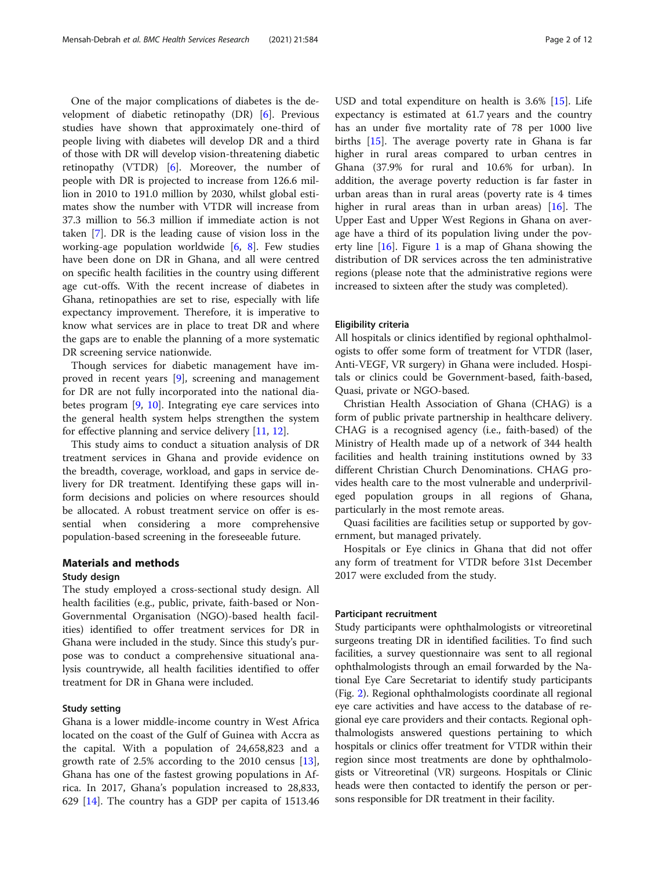One of the major complications of diabetes is the development of diabetic retinopathy (DR) [\[6](#page-10-0)]. Previous studies have shown that approximately one-third of people living with diabetes will develop DR and a third of those with DR will develop vision-threatening diabetic retinopathy (VTDR) [[6\]](#page-10-0). Moreover, the number of people with DR is projected to increase from 126.6 million in 2010 to 191.0 million by 2030, whilst global estimates show the number with VTDR will increase from 37.3 million to 56.3 million if immediate action is not taken [\[7](#page-10-0)]. DR is the leading cause of vision loss in the working-age population worldwide [[6,](#page-10-0) [8](#page-10-0)]. Few studies have been done on DR in Ghana, and all were centred on specific health facilities in the country using different age cut-offs. With the recent increase of diabetes in Ghana, retinopathies are set to rise, especially with life expectancy improvement. Therefore, it is imperative to know what services are in place to treat DR and where the gaps are to enable the planning of a more systematic DR screening service nationwide.

Though services for diabetic management have improved in recent years [\[9](#page-10-0)], screening and management for DR are not fully incorporated into the national diabetes program [\[9](#page-10-0), [10\]](#page-10-0). Integrating eye care services into the general health system helps strengthen the system for effective planning and service delivery [[11,](#page-10-0) [12\]](#page-10-0).

This study aims to conduct a situation analysis of DR treatment services in Ghana and provide evidence on the breadth, coverage, workload, and gaps in service delivery for DR treatment. Identifying these gaps will inform decisions and policies on where resources should be allocated. A robust treatment service on offer is essential when considering a more comprehensive population-based screening in the foreseeable future.

#### Materials and methods

#### Study design

The study employed a cross-sectional study design. All health facilities (e.g., public, private, faith-based or Non-Governmental Organisation (NGO)-based health facilities) identified to offer treatment services for DR in Ghana were included in the study. Since this study's purpose was to conduct a comprehensive situational analysis countrywide, all health facilities identified to offer treatment for DR in Ghana were included.

#### Study setting

Ghana is a lower middle-income country in West Africa located on the coast of the Gulf of Guinea with Accra as the capital. With a population of 24,658,823 and a growth rate of 2.5% according to the 2010 census [\[13](#page-10-0)], Ghana has one of the fastest growing populations in Africa. In 2017, Ghana's population increased to 28,833, 629 [\[14](#page-10-0)]. The country has a GDP per capita of 1513.46 USD and total expenditure on health is 3.6% [[15\]](#page-10-0). Life expectancy is estimated at 61.7 years and the country has an under five mortality rate of 78 per 1000 live births [[15\]](#page-10-0). The average poverty rate in Ghana is far higher in rural areas compared to urban centres in Ghana (37.9% for rural and 10.6% for urban). In addition, the average poverty reduction is far faster in urban areas than in rural areas (poverty rate is 4 times higher in rural areas than in urban areas) [[16](#page-10-0)]. The Upper East and Upper West Regions in Ghana on average have a third of its population living under the poverty line  $[16]$  $[16]$  $[16]$ . Figure [1](#page-2-0) is a map of Ghana showing the distribution of DR services across the ten administrative regions (please note that the administrative regions were increased to sixteen after the study was completed).

#### Eligibility criteria

All hospitals or clinics identified by regional ophthalmologists to offer some form of treatment for VTDR (laser, Anti-VEGF, VR surgery) in Ghana were included. Hospitals or clinics could be Government-based, faith-based, Quasi, private or NGO-based.

Christian Health Association of Ghana (CHAG) is a form of public private partnership in healthcare delivery. CHAG is a recognised agency (i.e., faith-based) of the Ministry of Health made up of a network of 344 health facilities and health training institutions owned by 33 different Christian Church Denominations. CHAG provides health care to the most vulnerable and underprivileged population groups in all regions of Ghana, particularly in the most remote areas.

Quasi facilities are facilities setup or supported by government, but managed privately.

Hospitals or Eye clinics in Ghana that did not offer any form of treatment for VTDR before 31st December 2017 were excluded from the study.

#### Participant recruitment

Study participants were ophthalmologists or vitreoretinal surgeons treating DR in identified facilities. To find such facilities, a survey questionnaire was sent to all regional ophthalmologists through an email forwarded by the National Eye Care Secretariat to identify study participants (Fig. [2](#page-3-0)). Regional ophthalmologists coordinate all regional eye care activities and have access to the database of regional eye care providers and their contacts. Regional ophthalmologists answered questions pertaining to which hospitals or clinics offer treatment for VTDR within their region since most treatments are done by ophthalmologists or Vitreoretinal (VR) surgeons. Hospitals or Clinic heads were then contacted to identify the person or persons responsible for DR treatment in their facility.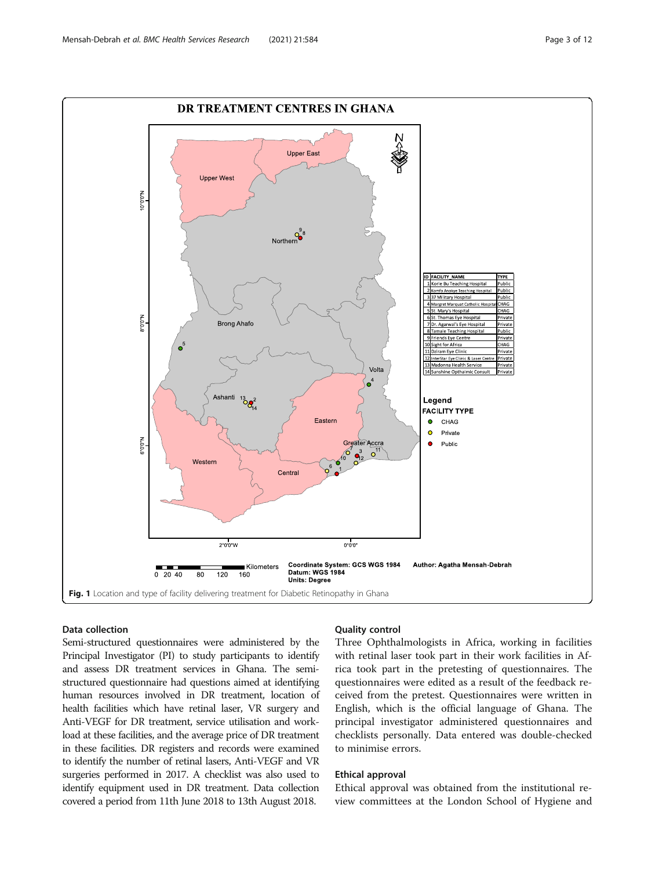<span id="page-2-0"></span>

#### Data collection

Semi-structured questionnaires were administered by the Principal Investigator (PI) to study participants to identify and assess DR treatment services in Ghana. The semistructured questionnaire had questions aimed at identifying human resources involved in DR treatment, location of health facilities which have retinal laser, VR surgery and Anti-VEGF for DR treatment, service utilisation and workload at these facilities, and the average price of DR treatment in these facilities. DR registers and records were examined to identify the number of retinal lasers, Anti-VEGF and VR surgeries performed in 2017. A checklist was also used to identify equipment used in DR treatment. Data collection covered a period from 11th June 2018 to 13th August 2018.

#### Quality control

Three Ophthalmologists in Africa, working in facilities with retinal laser took part in their work facilities in Africa took part in the pretesting of questionnaires. The questionnaires were edited as a result of the feedback received from the pretest. Questionnaires were written in English, which is the official language of Ghana. The principal investigator administered questionnaires and checklists personally. Data entered was double-checked to minimise errors.

#### Ethical approval

Ethical approval was obtained from the institutional review committees at the London School of Hygiene and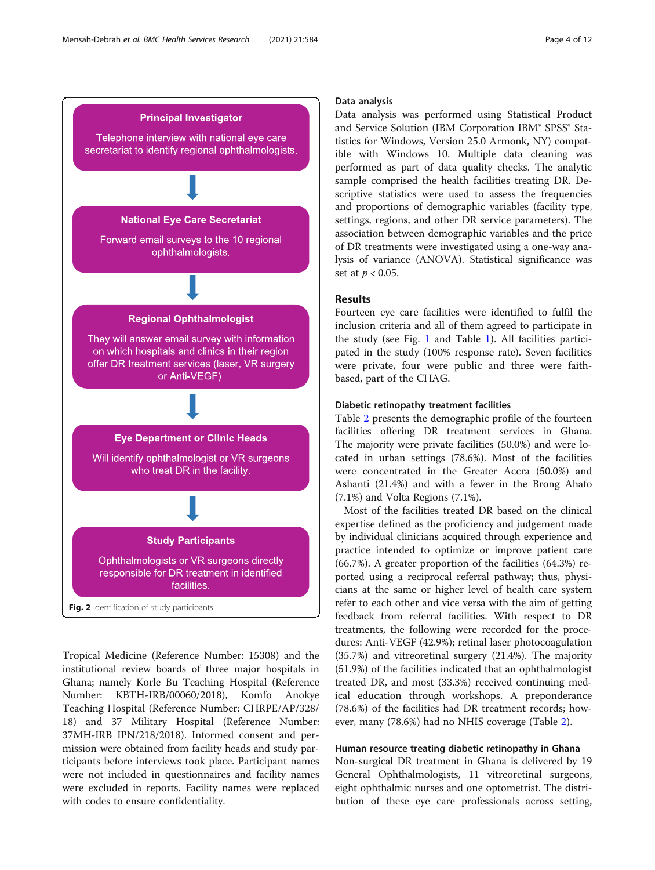<span id="page-3-0"></span>

Tropical Medicine (Reference Number: 15308) and the institutional review boards of three major hospitals in Ghana; namely Korle Bu Teaching Hospital (Reference Number: KBTH-IRB/00060/2018), Komfo Anokye Teaching Hospital (Reference Number: CHRPE/AP/328/ 18) and 37 Military Hospital (Reference Number: 37MH-IRB IPN/218/2018). Informed consent and permission were obtained from facility heads and study participants before interviews took place. Participant names were not included in questionnaires and facility names were excluded in reports. Facility names were replaced with codes to ensure confidentiality.

#### Data analysis

Data analysis was performed using Statistical Product and Service Solution (IBM Corporation IBM® SPSS® Statistics for Windows, Version 25.0 Armonk, NY) compatible with Windows 10. Multiple data cleaning was performed as part of data quality checks. The analytic sample comprised the health facilities treating DR. Descriptive statistics were used to assess the frequencies and proportions of demographic variables (facility type, settings, regions, and other DR service parameters). The association between demographic variables and the price of DR treatments were investigated using a one-way analysis of variance (ANOVA). Statistical significance was set at  $p < 0.05$ .

#### Results

Fourteen eye care facilities were identified to fulfil the inclusion criteria and all of them agreed to participate in the study (see Fig. [1](#page-2-0) and Table [1](#page-4-0)). All facilities participated in the study (100% response rate). Seven facilities were private, four were public and three were faithbased, part of the CHAG.

#### Diabetic retinopathy treatment facilities

Table [2](#page-5-0) presents the demographic profile of the fourteen facilities offering DR treatment services in Ghana. The majority were private facilities (50.0%) and were located in urban settings (78.6%). Most of the facilities were concentrated in the Greater Accra (50.0%) and Ashanti (21.4%) and with a fewer in the Brong Ahafo (7.1%) and Volta Regions (7.1%).

Most of the facilities treated DR based on the clinical expertise defined as the proficiency and judgement made by individual clinicians acquired through experience and practice intended to optimize or improve patient care (66.7%). A greater proportion of the facilities (64.3%) reported using a reciprocal referral pathway; thus, physicians at the same or higher level of health care system refer to each other and vice versa with the aim of getting feedback from referral facilities. With respect to DR treatments, the following were recorded for the procedures: Anti-VEGF (42.9%); retinal laser photocoagulation (35.7%) and vitreoretinal surgery (21.4%). The majority (51.9%) of the facilities indicated that an ophthalmologist treated DR, and most (33.3%) received continuing medical education through workshops. A preponderance (78.6%) of the facilities had DR treatment records; however, many (78.6%) had no NHIS coverage (Table [2](#page-5-0)).

#### Human resource treating diabetic retinopathy in Ghana

Non-surgical DR treatment in Ghana is delivered by 19 General Ophthalmologists, 11 vitreoretinal surgeons, eight ophthalmic nurses and one optometrist. The distribution of these eye care professionals across setting,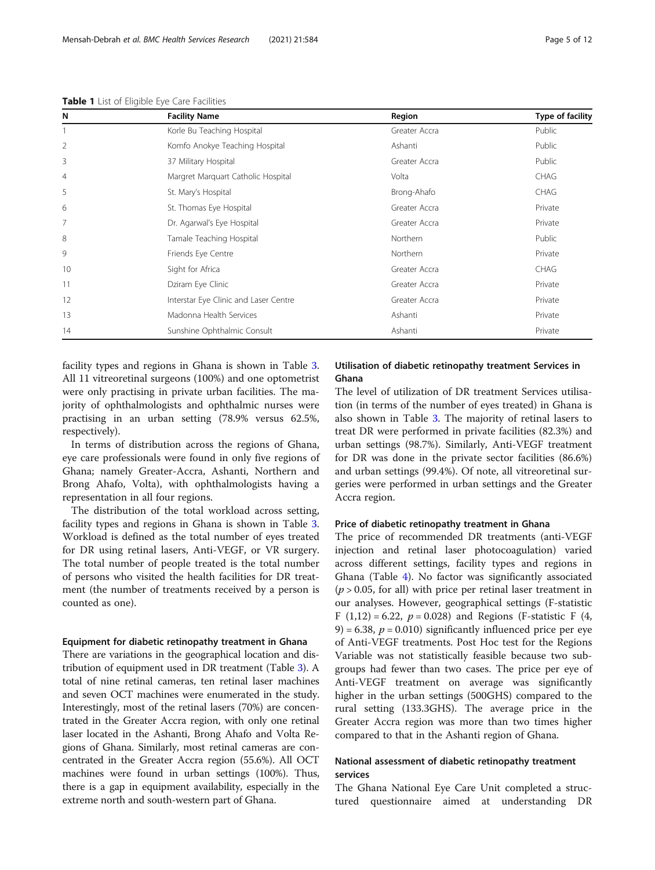| N              | <b>Facility Name</b>                  | Region        | Type of facility |
|----------------|---------------------------------------|---------------|------------------|
|                | Korle Bu Teaching Hospital            | Greater Accra | Public           |
| 2              | Komfo Anokye Teaching Hospital        | Ashanti       | Public           |
| 3              | 37 Military Hospital                  | Greater Accra | Public           |
| $\overline{4}$ | Margret Marguart Catholic Hospital    | Volta         | <b>CHAG</b>      |
| 5              | St. Mary's Hospital                   | Brong-Ahafo   | <b>CHAG</b>      |
| 6              | St. Thomas Eye Hospital               | Greater Accra | Private          |
| 7              | Dr. Agarwal's Eye Hospital            | Greater Accra | Private          |
| 8              | Tamale Teaching Hospital              | Northern      | Public           |
| 9              | Friends Eye Centre                    | Northern      | Private          |
| 10             | Sight for Africa                      | Greater Accra | <b>CHAG</b>      |
| 11             | Dziram Eye Clinic                     | Greater Accra | Private          |
| 12             | Interstar Eye Clinic and Laser Centre | Greater Accra | Private          |
| 13             | Madonna Health Services               | Ashanti       | Private          |
| 14             | Sunshine Ophthalmic Consult           | Ashanti       | Private          |

<span id="page-4-0"></span>Table 1 List of Eligible Eye Care Facilities

facility types and regions in Ghana is shown in Table [3](#page-7-0). All 11 vitreoretinal surgeons (100%) and one optometrist were only practising in private urban facilities. The majority of ophthalmologists and ophthalmic nurses were practising in an urban setting (78.9% versus 62.5%, respectively).

In terms of distribution across the regions of Ghana, eye care professionals were found in only five regions of Ghana; namely Greater-Accra, Ashanti, Northern and Brong Ahafo, Volta), with ophthalmologists having a representation in all four regions.

The distribution of the total workload across setting, facility types and regions in Ghana is shown in Table [3](#page-7-0). Workload is defined as the total number of eyes treated for DR using retinal lasers, Anti-VEGF, or VR surgery. The total number of people treated is the total number of persons who visited the health facilities for DR treatment (the number of treatments received by a person is counted as one).

#### Equipment for diabetic retinopathy treatment in Ghana

There are variations in the geographical location and distribution of equipment used in DR treatment (Table [3](#page-7-0)). A total of nine retinal cameras, ten retinal laser machines and seven OCT machines were enumerated in the study. Interestingly, most of the retinal lasers (70%) are concentrated in the Greater Accra region, with only one retinal laser located in the Ashanti, Brong Ahafo and Volta Regions of Ghana. Similarly, most retinal cameras are concentrated in the Greater Accra region (55.6%). All OCT machines were found in urban settings (100%). Thus, there is a gap in equipment availability, especially in the extreme north and south-western part of Ghana.

#### Utilisation of diabetic retinopathy treatment Services in Ghana

The level of utilization of DR treatment Services utilisation (in terms of the number of eyes treated) in Ghana is also shown in Table [3](#page-7-0). The majority of retinal lasers to treat DR were performed in private facilities (82.3%) and urban settings (98.7%). Similarly, Anti-VEGF treatment for DR was done in the private sector facilities (86.6%) and urban settings (99.4%). Of note, all vitreoretinal surgeries were performed in urban settings and the Greater Accra region.

#### Price of diabetic retinopathy treatment in Ghana

The price of recommended DR treatments (anti-VEGF injection and retinal laser photocoagulation) varied across different settings, facility types and regions in Ghana (Table [4\)](#page-9-0). No factor was significantly associated  $(p > 0.05$ , for all) with price per retinal laser treatment in our analyses. However, geographical settings (F-statistic F (1,12) = 6.22,  $p = 0.028$ ) and Regions (F-statistic F (4, 9) = 6.38,  $p = 0.010$ ) significantly influenced price per eye of Anti-VEGF treatments. Post Hoc test for the Regions Variable was not statistically feasible because two subgroups had fewer than two cases. The price per eye of Anti-VEGF treatment on average was significantly higher in the urban settings (500GHS) compared to the rural setting (133.3GHS). The average price in the Greater Accra region was more than two times higher compared to that in the Ashanti region of Ghana.

#### National assessment of diabetic retinopathy treatment services

The Ghana National Eye Care Unit completed a structured questionnaire aimed at understanding DR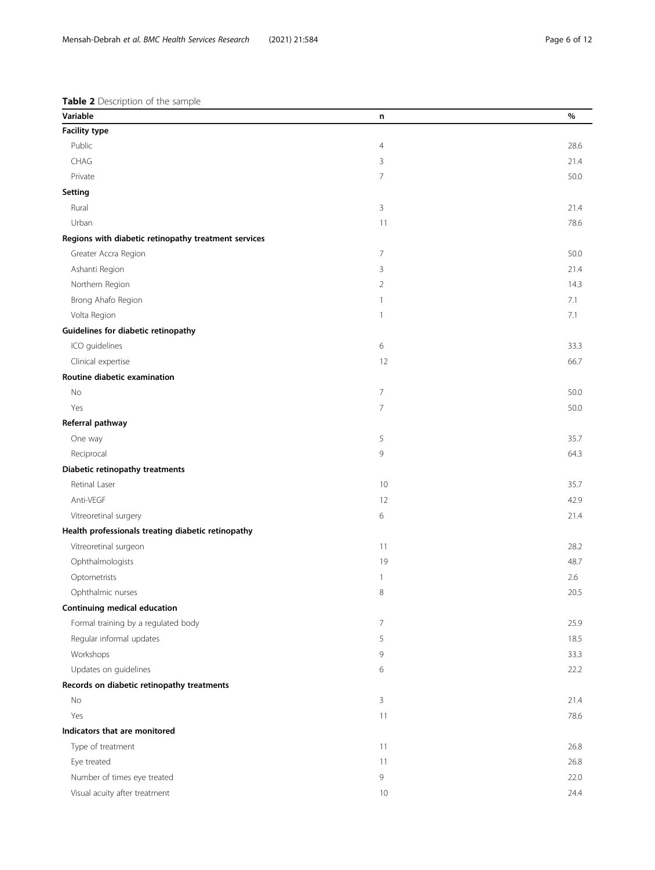<span id="page-5-0"></span>

| Variable                                             | n              | %    |
|------------------------------------------------------|----------------|------|
| <b>Facility type</b>                                 |                |      |
| Public                                               | $\overline{4}$ | 28.6 |
| CHAG                                                 | 3              | 21.4 |
| Private                                              | 7              | 50.0 |
| Setting                                              |                |      |
| Rural                                                | 3              | 21.4 |
| Urban                                                | 11             | 78.6 |
| Regions with diabetic retinopathy treatment services |                |      |
| Greater Accra Region                                 | $\overline{7}$ | 50.0 |
| Ashanti Region                                       | 3              | 21.4 |
| Northern Region                                      | $\overline{2}$ | 14.3 |
| Brong Ahafo Region                                   | $\mathbf{1}$   | 7.1  |
| Volta Region                                         | $\mathbf{1}$   | 7.1  |
| Guidelines for diabetic retinopathy                  |                |      |
| ICO guidelines                                       | 6              | 33.3 |
| Clinical expertise                                   | 12             | 66.7 |
| Routine diabetic examination                         |                |      |
| No                                                   | $\overline{7}$ | 50.0 |
| Yes                                                  | $\overline{7}$ | 50.0 |
| Referral pathway                                     |                |      |
| One way                                              | 5              | 35.7 |
| Reciprocal                                           | 9              | 64.3 |
| Diabetic retinopathy treatments                      |                |      |
| Retinal Laser                                        | 10             | 35.7 |
| Anti-VEGF                                            | 12             | 42.9 |
| Vitreoretinal surgery                                | 6              | 21.4 |
| Health professionals treating diabetic retinopathy   |                |      |
| Vitreoretinal surgeon                                | 11             | 28.2 |
| Ophthalmologists                                     | 19             | 48.7 |
| Optometrists                                         | $\mathbf{1}$   | 2.6  |
| Ophthalmic nurses                                    | 8              | 20.5 |
| Continuing medical education                         |                |      |
| Formal training by a regulated body                  | $\overline{7}$ | 25.9 |
| Regular informal updates                             | 5              | 18.5 |
| Workshops                                            | 9              | 33.3 |
| Updates on guidelines                                | 6              | 22.2 |
| Records on diabetic retinopathy treatments           |                |      |
| No                                                   | 3              | 21.4 |
| Yes                                                  | 11             | 78.6 |
| Indicators that are monitored                        |                |      |
| Type of treatment                                    | 11             | 26.8 |
| Eye treated                                          | 11             | 26.8 |
| Number of times eye treated                          | 9              | 22.0 |
| Visual acuity after treatment                        | 10             | 24.4 |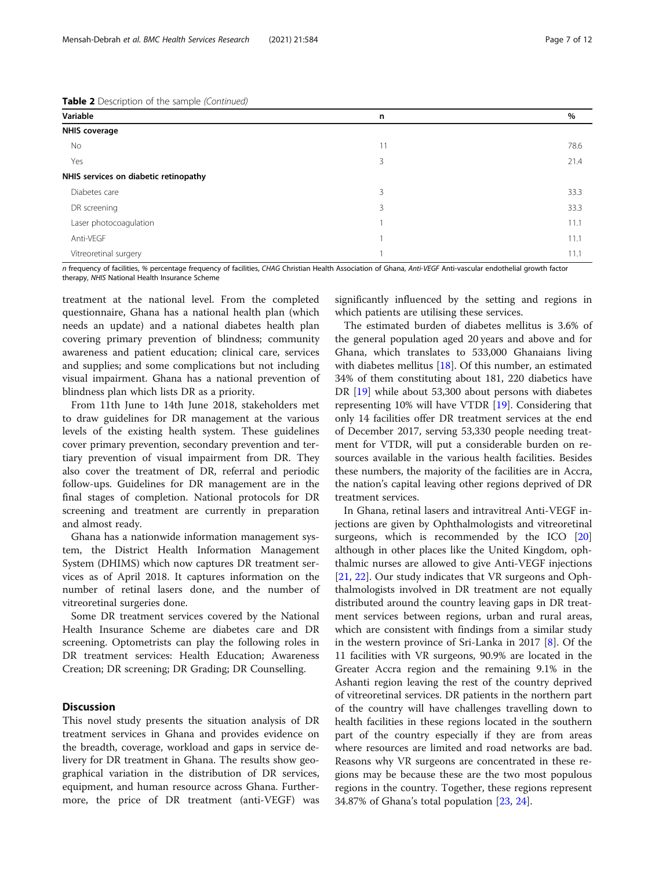| Table 2 Description of the sample (Continued) |  |  |
|-----------------------------------------------|--|--|
|                                               |  |  |

| Variable                              | n  | $\%$ |
|---------------------------------------|----|------|
| <b>NHIS coverage</b>                  |    |      |
| No                                    | 11 | 78.6 |
| Yes                                   | 3  | 21.4 |
| NHIS services on diabetic retinopathy |    |      |
| Diabetes care                         | 3  | 33.3 |
| DR screening                          | 3  | 33.3 |
| Laser photocoagulation                |    | 11.1 |
| Anti-VEGF                             |    | 11.1 |
| Vitreoretinal surgery                 |    | 11.1 |

n frequency of facilities, % percentage frequency of facilities, CHAG Christian Health Association of Ghana, Anti-VEGF Anti-vascular endothelial growth factor therapy, NHIS National Health Insurance Scheme

treatment at the national level. From the completed questionnaire, Ghana has a national health plan (which needs an update) and a national diabetes health plan covering primary prevention of blindness; community awareness and patient education; clinical care, services and supplies; and some complications but not including visual impairment. Ghana has a national prevention of blindness plan which lists DR as a priority.

From 11th June to 14th June 2018, stakeholders met to draw guidelines for DR management at the various levels of the existing health system. These guidelines cover primary prevention, secondary prevention and tertiary prevention of visual impairment from DR. They also cover the treatment of DR, referral and periodic follow-ups. Guidelines for DR management are in the final stages of completion. National protocols for DR screening and treatment are currently in preparation and almost ready.

Ghana has a nationwide information management system, the District Health Information Management System (DHIMS) which now captures DR treatment services as of April 2018. It captures information on the number of retinal lasers done, and the number of vitreoretinal surgeries done.

Some DR treatment services covered by the National Health Insurance Scheme are diabetes care and DR screening. Optometrists can play the following roles in DR treatment services: Health Education; Awareness Creation; DR screening; DR Grading; DR Counselling.

#### **Discussion**

This novel study presents the situation analysis of DR treatment services in Ghana and provides evidence on the breadth, coverage, workload and gaps in service delivery for DR treatment in Ghana. The results show geographical variation in the distribution of DR services, equipment, and human resource across Ghana. Furthermore, the price of DR treatment (anti-VEGF) was

significantly influenced by the setting and regions in which patients are utilising these services.

The estimated burden of diabetes mellitus is 3.6% of the general population aged 20 years and above and for Ghana, which translates to 533,000 Ghanaians living with diabetes mellitus  $[18]$ . Of this number, an estimated 34% of them constituting about 181, 220 diabetics have DR [[19](#page-10-0)] while about 53,300 about persons with diabetes representing 10% will have VTDR [\[19](#page-10-0)]. Considering that only 14 facilities offer DR treatment services at the end of December 2017, serving 53,330 people needing treatment for VTDR, will put a considerable burden on resources available in the various health facilities. Besides these numbers, the majority of the facilities are in Accra, the nation's capital leaving other regions deprived of DR treatment services.

In Ghana, retinal lasers and intravitreal Anti-VEGF injections are given by Ophthalmologists and vitreoretinal surgeons, which is recommended by the ICO [[20](#page-10-0)] although in other places like the United Kingdom, ophthalmic nurses are allowed to give Anti-VEGF injections [[21,](#page-10-0) [22\]](#page-10-0). Our study indicates that VR surgeons and Ophthalmologists involved in DR treatment are not equally distributed around the country leaving gaps in DR treatment services between regions, urban and rural areas, which are consistent with findings from a similar study in the western province of Sri-Lanka in 2017 [\[8](#page-10-0)]. Of the 11 facilities with VR surgeons, 90.9% are located in the Greater Accra region and the remaining 9.1% in the Ashanti region leaving the rest of the country deprived of vitreoretinal services. DR patients in the northern part of the country will have challenges travelling down to health facilities in these regions located in the southern part of the country especially if they are from areas where resources are limited and road networks are bad. Reasons why VR surgeons are concentrated in these regions may be because these are the two most populous regions in the country. Together, these regions represent 34.87% of Ghana's total population [\[23](#page-11-0), [24\]](#page-11-0).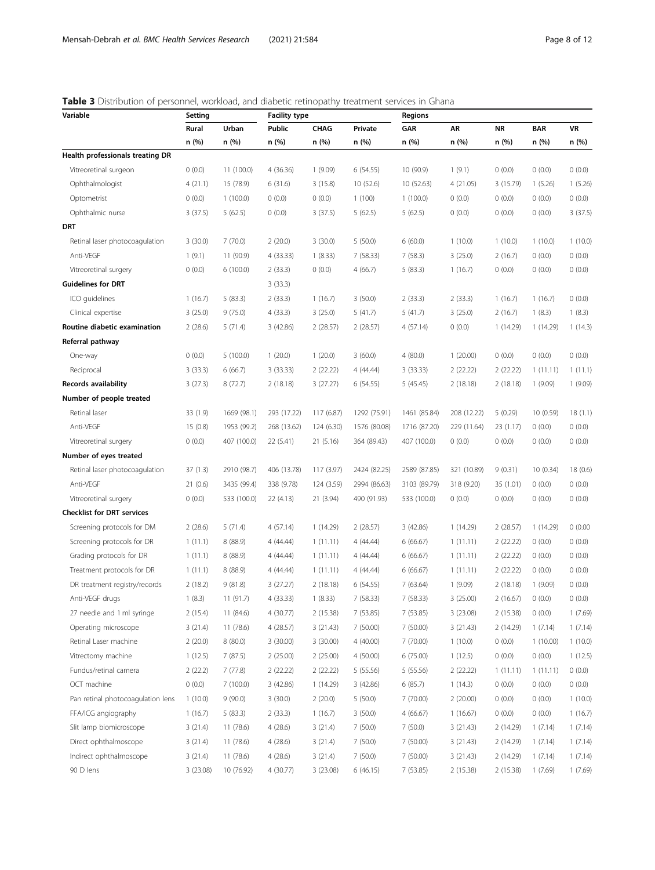## <span id="page-7-0"></span>Table 3 Distribution of personnel, workload, and diabetic retinopathy treatment services in Ghana

| Variable                          | Setting  |             | <b>Facility type</b> |            |              | <b>Regions</b> |             |           |            |          |
|-----------------------------------|----------|-------------|----------------------|------------|--------------|----------------|-------------|-----------|------------|----------|
|                                   | Rural    | Urban       | Public               | CHAG       | Private      | GAR            | AR          | <b>NR</b> | <b>BAR</b> | VR       |
|                                   | n (%)    | n (%)       | n (%)                | n (%)      | n (%)        | n (%)          | n (%)       | n (%)     | n (%)      | n (%)    |
| Health professionals treating DR  |          |             |                      |            |              |                |             |           |            |          |
| Vitreoretinal surgeon             | 0(0.0)   | 11 (100.0)  | 4(36.36)             | 1(9.09)    | 6(54.55)     | 10 (90.9)      | 1(9.1)      | 0(0.0)    | 0(0.0)     | 0(0.0)   |
| Ophthalmologist                   | 4(21.1)  | 15 (78.9)   | 6(31.6)              | 3(15.8)    | 10(52.6)     | 10 (52.63)     | 4(21.05)    | 3 (15.79) | 1(5.26)    | 1(5.26)  |
| Optometrist                       | 0(0.0)   | 1(100.0)    | 0(0.0)               | 0(0.0)     | 1(100)       | 1(100.0)       | 0(0.0)      | 0(0.0)    | 0(0.0)     | (0.0)    |
| Ophthalmic nurse                  | 3(37.5)  | 5(62.5)     | 0(0.0)               | 3(37.5)    | 5(62.5)      | 5(62.5)        | 0(0.0)      | 0(0.0)    | 0(0.0)     | 3(37.5)  |
| DRT                               |          |             |                      |            |              |                |             |           |            |          |
| Retinal laser photocoagulation    | 3(30.0)  | 7(70.0)     | 2(20.0)              | 3(30.0)    | 5(50.0)      | 6(60.0)        | 1(10.0)     | 1(10.0)   | 1(10.0)    | 1(10.0)  |
| Anti-VEGF                         | 1(9.1)   | 11 (90.9)   | 4(33.33)             | 1(8.33)    | 7 (58.33)    | 7(58.3)        | 3(25.0)     | 2(16.7)   | 0(0.0)     | 0(0.0)   |
| Vitreoretinal surgery             | 0(0.0)   | 6(100.0)    | 2(33.3)              | 0(0.0)     | 4(66.7)      | 5(83.3)        | 1(16.7)     | 0(0.0)    | 0(0.0)     | 0(0.0)   |
| <b>Guidelines for DRT</b>         |          |             | 3(33.3)              |            |              |                |             |           |            |          |
| ICO guidelines                    | 1(16.7)  | 5(83.3)     | 2(33.3)              | 1(16.7)    | 3(50.0)      | 2(33.3)        | 2(33.3)     | 1(16.7)   | 1(16.7)    | 0(0.0)   |
| Clinical expertise                | 3(25.0)  | 9(75.0)     | 4(33.3)              | 3(25.0)    | 5(41.7)      | 5(41.7)        | 3(25.0)     | 2(16.7)   | 1(8.3)     | 1(8.3)   |
| Routine diabetic examination      | 2(28.6)  | 5(71.4)     | 3 (42.86)            | 2(28.57)   | 2(28.57)     | 4 (57.14)      | 0(0.0)      | 1 (14.29) | 1 (14.29)  | 1(14.3)  |
| Referral pathway                  |          |             |                      |            |              |                |             |           |            |          |
| One-way                           | 0(0.0)   | 5(100.0)    | 1(20.0)              | 1(20.0)    | 3(60.0)      | 4(80.0)        | 1(20.00)    | 0(0.0)    | 0(0.0)     | 0(0.0)   |
| Reciprocal                        | 3(33.3)  | 6(66.7)     | 3(33.33)             | 2(22.22)   | 4 (44.44)    | 3(33.33)       | 2(22.22)    | 2(22.22)  | 1(11.11)   | 1(11.1)  |
| <b>Records availability</b>       | 3(27.3)  | 8(72.7)     | 2(18.18)             | 3(27.27)   | 6 (54.55)    | 5 (45.45)      | 2(18.18)    | 2(18.18)  | 1(9.09)    | 1(9.09)  |
| Number of people treated          |          |             |                      |            |              |                |             |           |            |          |
| Retinal laser                     | 33 (1.9) | 1669 (98.1) | 293 (17.22)          | 117 (6.87) | 1292 (75.91) | 1461 (85.84)   | 208 (12.22) | 5(0.29)   | 10 (0.59)  | 18(1.1)  |
| Anti-VEGF                         | 15(0.8)  | 1953 (99.2) | 268 (13.62)          | 124 (6.30) | 1576 (80.08) | 1716 (87.20)   | 229 (11.64) | 23 (1.17) | 0(0.0)     | 0(0.0)   |
| Vitreoretinal surgery             | 0(0.0)   | 407 (100.0) | 22 (5.41)            | 21 (5.16)  | 364 (89.43)  | 407 (100.0)    | 0(0.0)      | 0(0.0)    | 0(0.0)     | 0(0.0)   |
| Number of eyes treated            |          |             |                      |            |              |                |             |           |            |          |
| Retinal laser photocoagulation    | 37(1.3)  | 2910 (98.7) | 406 (13.78)          | 117 (3.97) | 2424 (82.25) | 2589 (87.85)   | 321 (10.89) | 9(0.31)   | 10 (0.34)  | 18 (0.6) |
| Anti-VEGF                         | 21(0.6)  | 3435 (99.4) | 338 (9.78)           | 124 (3.59) | 2994 (86.63) | 3103 (89.79)   | 318 (9.20)  | 35 (1.01) | 0(0.0)     | (0.0)    |
| Vitreoretinal surgery             | 0(0.0)   | 533 (100.0) | 22 (4.13)            | 21 (3.94)  | 490 (91.93)  | 533 (100.0)    | 0(0.0)      | 0(0.0)    | 0(0.0)     | 0(0.0)   |
| <b>Checklist for DRT services</b> |          |             |                      |            |              |                |             |           |            |          |
| Screening protocols for DM        | 2(28.6)  | 5(71.4)     | 4(57.14)             | 1(14.29)   | 2(28.57)     | 3(42.86)       | 1(14.29)    | 2(28.57)  | 1 (14.29)  | 0(0.00)  |
| Screening protocols for DR        | 1(11.1)  | 8(88.9)     | 4 (44.44)            | 1(11.11)   | 4(44.44)     | 6(66.67)       | 1(11.11)    | 2(22.22)  | 0(0.0)     | 0(0.0)   |
| Grading protocols for DR          | 1(11.1)  | 8(88.9)     | 4 (44.44)            | 1(11.11)   | 4 (44.44)    | 6(66.67)       | 1(11.11)    | 2(22.22)  | 0(0.0)     | 0(0.0)   |
| Treatment protocols for DR        | 1(11.1)  | 8 (88.9)    | 4 (44.44)            | 1(11.11)   | 4 (44.44)    | 6(66.67)       | 1(11.11)    | 2(22.22)  | 0(0.0)     | 0(0.0)   |
| DR treatment registry/records     | 2(18.2)  | 9(81.8)     | 3 (27.27)            | 2(18.18)   | 6 (54.55)    | 7(63.64)       | 1(9.09)     | 2(18.18)  | 1(9.09)    | 0(0.0)   |
| Anti-VEGF drugs                   | 1(8.3)   | 11 (91.7)   | 4 (33.33)            | 1(8.33)    | 7 (58.33)    | 7 (58.33)      | 3(25.00)    | 2(16.67)  | 0(0.0)     | 0(0.0)   |
| 27 needle and 1 ml syringe        | 2(15.4)  | 11 (84.6)   | 4 (30.77)            | 2 (15.38)  | 7 (53.85)    | 7 (53.85)      | 3 (23.08)   | 2(15.38)  | 0(0.0)     | 1(7.69)  |
| Operating microscope              | 3(21.4)  | 11 (78.6)   | 4(28.57)             | 3(21.43)   | 7 (50.00)    | 7 (50.00)      | 3(21.43)    | 2 (14.29) | 1(7.14)    | 1(7.14)  |
| Retinal Laser machine             | 2(20.0)  | 8(80.0)     | 3(30.00)             | 3(30.00)   | 4(40.00)     | 7 (70.00)      | 1(10.0)     | 0(0.0)    | 1(10.00)   | 1(10.0)  |
| Vitrectomy machine                | 1(12.5)  | 7(87.5)     | 2(25.00)             | 2(25.00)   | 4 (50.00)    | 6 (75.00)      | 1(12.5)     | 0(0.0)    | 0(0.0)     | 1(12.5)  |
| Fundus/retinal camera             | 2(22.2)  | 7(77.8)     | 2(22.22)             | 2(22.22)   | 5 (55.56)    | 5 (55.56)      | 2(22.22)    | 1(11.11)  | 1(11.11)   | (0.0)    |
| OCT machine                       | 0(0.0)   | 7(100.0)    | 3 (42.86)            | 1 (14.29)  | 3(42.86)     | 6(85.7)        | 1(14.3)     | 0(0.0)    | 0(0.0)     | 0(0.0)   |
| Pan retinal photocoagulation lens | 1(10.0)  | 9(90.0)     | 3(30.0)              | 2(20.0)    | 5(50.0)      | 7 (70.00)      | 2(20.00)    | 0(0.0)    | 0(0.0)     | 1(10.0)  |
| FFA/ICG angiography               | 1(16.7)  | 5(83.3)     | 2(33.3)              | 1(16.7)    | 3(50.0)      | 4(66.67)       | 1(16.67)    | 0(0.0)    | 0(0.0)     | 1(16.7)  |
| Slit lamp biomicroscope           | 3(21.4)  | 11(78.6)    | 4(28.6)              | 3(21.4)    | 7(50.0)      | 7(50.0)        | 3(21.43)    | 2 (14.29) | 1(7.14)    | 1(7.14)  |
| Direct ophthalmoscope             | 3(21.4)  | 11 (78.6)   | 4(28.6)              | 3(21.4)    | 7(50.0)      | 7 (50.00)      | 3(21.43)    | 2 (14.29) | 1(7.14)    | 1(7.14)  |
| Indirect ophthalmoscope           | 3(21.4)  | 11(78.6)    | 4(28.6)              | 3(21.4)    | 7(50.0)      | 7 (50.00)      | 3(21.43)    | 2 (14.29) | 1(7.14)    | 1(7.14)  |
| 90 D lens                         | 3(23.08) | 10 (76.92)  | 4 (30.77)            | 3 (23.08)  | 6(46.15)     | 7 (53.85)      | 2(15.38)    | 2(15.38)  | 1(7.69)    | 1(7.69)  |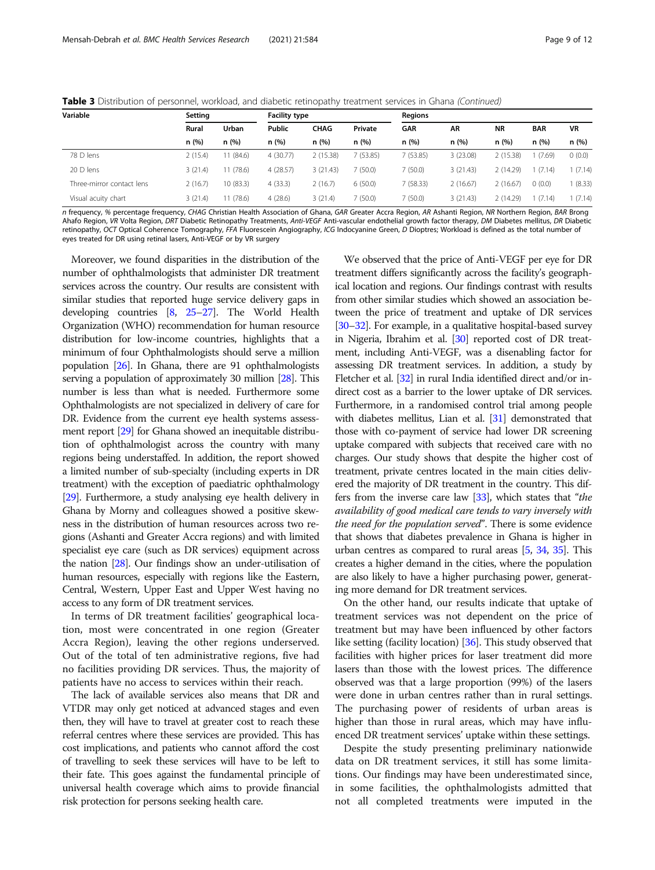Table 3 Distribution of personnel, workload, and diabetic retinopathy treatment services in Ghana (Continued)

| Variable                  | Setting |           | <b>Facility type</b> |             |          | <b>Regions</b> |          |           |            |           |
|---------------------------|---------|-----------|----------------------|-------------|----------|----------------|----------|-----------|------------|-----------|
|                           | Rural   | Urban     | Public               | <b>CHAG</b> | Private  | GAR            | AR       | <b>NR</b> | <b>BAR</b> | <b>VR</b> |
|                           | n (%)   | n(%)      | n(%)                 | n(%)        | n(%)     | n(%)           | n(%)     | n (%)     | n(%)       | n(%)      |
| 78 D lens                 | 2(15.4) | 11 (84.6) | 4(30.77)             | 2(15.38)    | 7(53.85) | 7(53.85)       | 3(23.08) | 2(15.38)  | (7.69)     | 0(0.0)    |
| 20 D lens                 | 3(21.4) | 11(78.6)  | 4(28.57)             | 3(21.43)    | 7(50.0)  | 7(50.0)        | 3(21.43) | 2(14.29)  | (7.14)     | (7.14)    |
| Three-mirror contact lens | 2(16.7) | 10(83.3)  | 4(33.3)              | 2(16.7)     | 6(50.0)  | 7 (58.33)      | 2(16.67) | 2(16.67)  | 0(0.0)     | (8.33)    |
| Visual acuity chart       | 3(21.4) | 11(78.6)  | 4(28.6)              | 3(21.4)     | 7(50.0)  | 7 (50.0)       | 3(21.43) | 2(14.29)  | (7.14)     | (7.14)    |

n frequency, % percentage frequency, CHAG Christian Health Association of Ghana, GAR Greater Accra Region, AR Ashanti Region, NR Northern Region, BAR Brong Ahafo Region, VR Volta Region, DRT Diabetic Retinopathy Treatments, Anti-VEGF Anti-vascular endothelial growth factor therapy, DM Diabetes mellitus, DR Diabetic retinopathy, OCT Optical Coherence Tomography, FFA Fluorescein Angiography, ICG Indocyanine Green, D Dioptres; Workload is defined as the total number of eyes treated for DR using retinal lasers, Anti-VEGF or by VR surgery

Moreover, we found disparities in the distribution of the number of ophthalmologists that administer DR treatment services across the country. Our results are consistent with similar studies that reported huge service delivery gaps in developing countries [\[8,](#page-10-0) [25](#page-11-0)–[27\]](#page-11-0). The World Health Organization (WHO) recommendation for human resource distribution for low-income countries, highlights that a minimum of four Ophthalmologists should serve a million population [\[26\]](#page-11-0). In Ghana, there are 91 ophthalmologists serving a population of approximately 30 million [\[28\]](#page-11-0). This number is less than what is needed. Furthermore some Ophthalmologists are not specialized in delivery of care for DR. Evidence from the current eye health systems assessment report [[29\]](#page-11-0) for Ghana showed an inequitable distribution of ophthalmologist across the country with many regions being understaffed. In addition, the report showed a limited number of sub-specialty (including experts in DR treatment) with the exception of paediatric ophthalmology [[29](#page-11-0)]. Furthermore, a study analysing eye health delivery in Ghana by Morny and colleagues showed a positive skewness in the distribution of human resources across two regions (Ashanti and Greater Accra regions) and with limited specialist eye care (such as DR services) equipment across the nation [\[28\]](#page-11-0). Our findings show an under-utilisation of human resources, especially with regions like the Eastern, Central, Western, Upper East and Upper West having no access to any form of DR treatment services.

In terms of DR treatment facilities' geographical location, most were concentrated in one region (Greater Accra Region), leaving the other regions underserved. Out of the total of ten administrative regions, five had no facilities providing DR services. Thus, the majority of patients have no access to services within their reach.

The lack of available services also means that DR and VTDR may only get noticed at advanced stages and even then, they will have to travel at greater cost to reach these referral centres where these services are provided. This has cost implications, and patients who cannot afford the cost of travelling to seek these services will have to be left to their fate. This goes against the fundamental principle of universal health coverage which aims to provide financial risk protection for persons seeking health care.

We observed that the price of Anti-VEGF per eye for DR treatment differs significantly across the facility's geographical location and regions. Our findings contrast with results from other similar studies which showed an association between the price of treatment and uptake of DR services [[30](#page-11-0)–[32](#page-11-0)]. For example, in a qualitative hospital-based survey in Nigeria, Ibrahim et al. [\[30](#page-11-0)] reported cost of DR treatment, including Anti-VEGF, was a disenabling factor for assessing DR treatment services. In addition, a study by Fletcher et al. [[32](#page-11-0)] in rural India identified direct and/or indirect cost as a barrier to the lower uptake of DR services. Furthermore, in a randomised control trial among people with diabetes mellitus, Lian et al. [\[31\]](#page-11-0) demonstrated that those with co-payment of service had lower DR screening uptake compared with subjects that received care with no charges. Our study shows that despite the higher cost of treatment, private centres located in the main cities delivered the majority of DR treatment in the country. This differs from the inverse care law [\[33](#page-11-0)], which states that "the availability of good medical care tends to vary inversely with the need for the population served". There is some evidence that shows that diabetes prevalence in Ghana is higher in urban centres as compared to rural areas [\[5](#page-10-0), [34](#page-11-0), [35](#page-11-0)]. This creates a higher demand in the cities, where the population are also likely to have a higher purchasing power, generating more demand for DR treatment services.

On the other hand, our results indicate that uptake of treatment services was not dependent on the price of treatment but may have been influenced by other factors like setting (facility location) [\[36\]](#page-11-0). This study observed that facilities with higher prices for laser treatment did more lasers than those with the lowest prices. The difference observed was that a large proportion (99%) of the lasers were done in urban centres rather than in rural settings. The purchasing power of residents of urban areas is higher than those in rural areas, which may have influenced DR treatment services' uptake within these settings.

Despite the study presenting preliminary nationwide data on DR treatment services, it still has some limitations. Our findings may have been underestimated since, in some facilities, the ophthalmologists admitted that not all completed treatments were imputed in the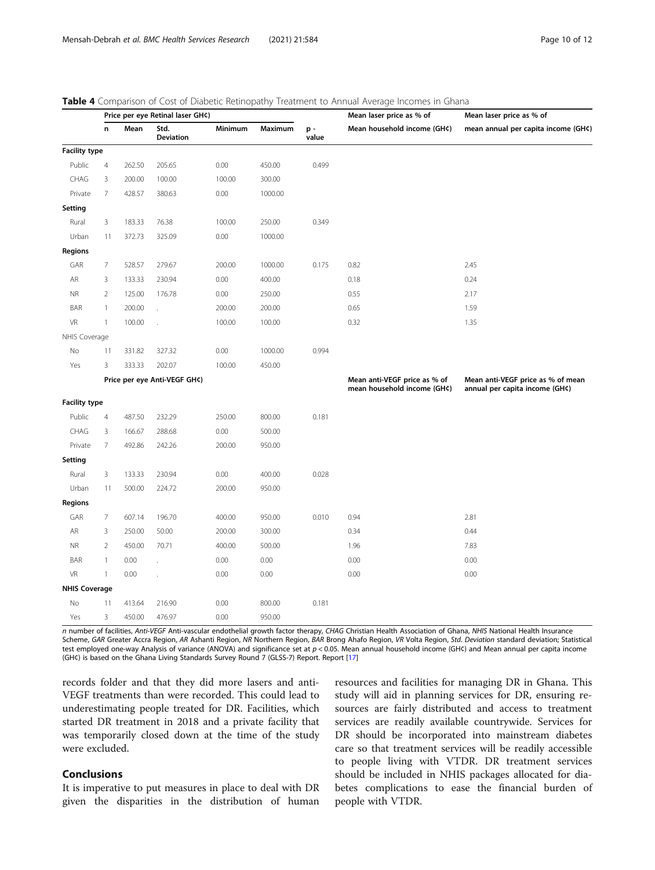|                      | Price per eye Retinal laser GH¢) |        |                              |         |         |             | Mean laser price as % of                                    | Mean laser price as % of                                            |
|----------------------|----------------------------------|--------|------------------------------|---------|---------|-------------|-------------------------------------------------------------|---------------------------------------------------------------------|
|                      | n                                | Mean   | Std.<br><b>Deviation</b>     | Minimum | Maximum | p-<br>value | Mean household income (GH¢)                                 | mean annual per capita income (GH¢)                                 |
| <b>Facility type</b> |                                  |        |                              |         |         |             |                                                             |                                                                     |
| Public               | $\overline{4}$                   | 262.50 | 205.65                       | 0.00    | 450.00  | 0.499       |                                                             |                                                                     |
| CHAG                 | 3                                | 200.00 | 100.00                       | 100.00  | 300.00  |             |                                                             |                                                                     |
| Private              | 7                                | 428.57 | 380.63                       | 0.00    | 1000.00 |             |                                                             |                                                                     |
| Setting              |                                  |        |                              |         |         |             |                                                             |                                                                     |
| Rural                | 3                                | 183.33 | 76.38                        | 100.00  | 250.00  | 0.349       |                                                             |                                                                     |
| Urban                | 11                               | 372.73 | 325.09                       | 0.00    | 1000.00 |             |                                                             |                                                                     |
| Regions              |                                  |        |                              |         |         |             |                                                             |                                                                     |
| GAR                  | $\overline{\phantom{a}}$         | 528.57 | 279.67                       | 200.00  | 1000.00 | 0.175       | 0.82                                                        | 2.45                                                                |
| AR                   | 3                                | 133.33 | 230.94                       | 0.00    | 400.00  |             | 0.18                                                        | 0.24                                                                |
| <b>NR</b>            | $\overline{2}$                   | 125.00 | 176.78                       | 0.00    | 250.00  |             | 0.55                                                        | 2.17                                                                |
| BAR                  | $\mathbf{1}$                     | 200.00 |                              | 200.00  | 200.00  |             | 0.65                                                        | 1.59                                                                |
| VR                   | $\mathbf{1}$                     | 100.00 |                              | 100.00  | 100.00  |             | 0.32                                                        | 1.35                                                                |
| NHIS Coverage        |                                  |        |                              |         |         |             |                                                             |                                                                     |
| No                   | 11                               | 331.82 | 327.32                       | 0.00    | 1000.00 | 0.994       |                                                             |                                                                     |
| Yes                  | 3                                | 333.33 | 202.07                       | 100.00  | 450.00  |             |                                                             |                                                                     |
|                      |                                  |        | Price per eye Anti-VEGF GH¢) |         |         |             | Mean anti-VEGF price as % of<br>mean household income (GH¢) | Mean anti-VEGF price as % of mean<br>annual per capita income (GH¢) |
| <b>Facility type</b> |                                  |        |                              |         |         |             |                                                             |                                                                     |
| Public               | $\overline{4}$                   | 487.50 | 232.29                       | 250.00  | 800.00  | 0.181       |                                                             |                                                                     |
| CHAG                 | 3                                | 166.67 | 288.68                       | 0.00    | 500.00  |             |                                                             |                                                                     |
| Private              | 7                                | 492.86 | 242.26                       | 200.00  | 950.00  |             |                                                             |                                                                     |
| Setting              |                                  |        |                              |         |         |             |                                                             |                                                                     |
| Rural                | 3                                | 133.33 | 230.94                       | 0.00    | 400.00  | 0.028       |                                                             |                                                                     |
| Urban                | 11                               | 500.00 | 224.72                       | 200.00  | 950.00  |             |                                                             |                                                                     |
| Regions              |                                  |        |                              |         |         |             |                                                             |                                                                     |
| GAR                  | 7                                | 607.14 | 196.70                       | 400.00  | 950.00  | 0.010       | 0.94                                                        | 2.81                                                                |
| AR                   | 3                                | 250.00 | 50.00                        | 200.00  | 300.00  |             | 0.34                                                        | 0.44                                                                |
| <b>NR</b>            | $\overline{2}$                   | 450.00 | 70.71                        | 400.00  | 500.00  |             | 1.96                                                        | 7.83                                                                |
| BAR                  | 1                                | 0.00   |                              | 0.00    | 0.00    |             | 0.00                                                        | 0.00                                                                |
| <b>VR</b>            | $\mathbf{1}$                     | 0.00   |                              | 0.00    | 0.00    |             | 0.00                                                        | 0.00                                                                |
| <b>NHIS Coverage</b> |                                  |        |                              |         |         |             |                                                             |                                                                     |
| No                   | 11                               | 413.64 | 216.90                       | 0.00    | 800.00  | 0.181       |                                                             |                                                                     |
| Yes                  | 3                                | 450.00 | 476.97                       | 0.00    | 950.00  |             |                                                             |                                                                     |

<span id="page-9-0"></span>Table 4 Comparison of Cost of Diabetic Retinopathy Treatment to Annual Average Incomes in Ghana

n number of facilities, Anti-VEGF Anti-vascular endothelial growth factor therapy, CHAG Christian Health Association of Ghana, NHIS National Health Insurance Scheme, GAR Greater Accra Region, AR Ashanti Region, NR Northern Region, BAR Brong Ahafo Region, VR Volta Region, Std. Deviation standard deviation; Statistical test employed one-way Analysis of variance (ANOVA) and significance set at  $p < 0.05$ . Mean annual household income (GH¢) and Mean annual per capita income (GH¢) is based on the Ghana Living Standards Survey Round 7 (GLSS-7) Report. Report [[17\]](#page-10-0)

records folder and that they did more lasers and anti-VEGF treatments than were recorded. This could lead to underestimating people treated for DR. Facilities, which started DR treatment in 2018 and a private facility that was temporarily closed down at the time of the study were excluded.

#### Conclusions

It is imperative to put measures in place to deal with DR given the disparities in the distribution of human

resources and facilities for managing DR in Ghana. This study will aid in planning services for DR, ensuring resources are fairly distributed and access to treatment services are readily available countrywide. Services for DR should be incorporated into mainstream diabetes care so that treatment services will be readily accessible to people living with VTDR. DR treatment services should be included in NHIS packages allocated for diabetes complications to ease the financial burden of people with VTDR.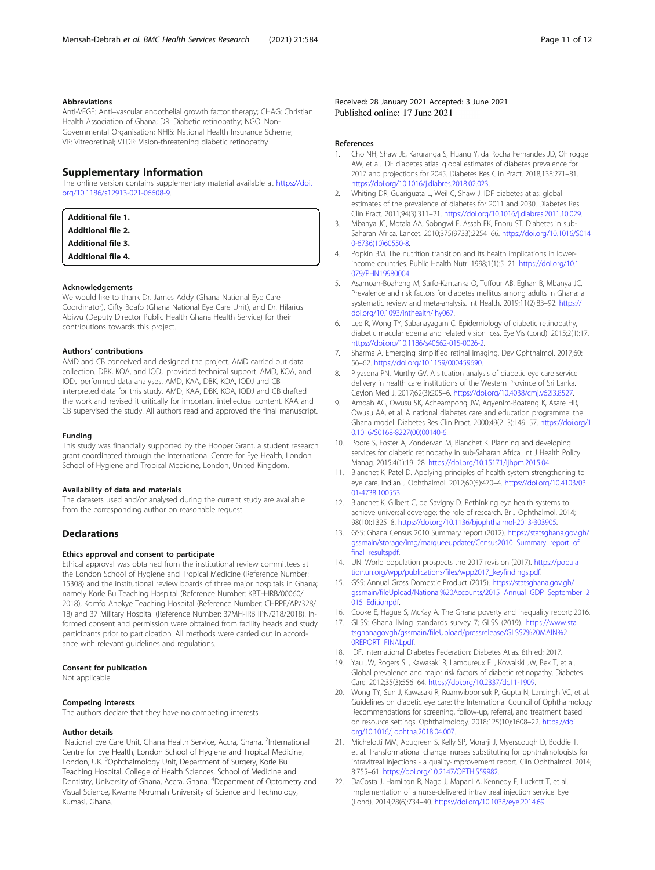#### <span id="page-10-0"></span>Abbreviations

Anti-VEGF: Anti–vascular endothelial growth factor therapy; CHAG: Christian Health Association of Ghana; DR: Diabetic retinopathy; NGO: Non-Governmental Organisation; NHIS: National Health Insurance Scheme; VR: Vitreoretinal; VTDR: Vision-threatening diabetic retinopathy

#### Supplementary Information

The online version contains supplementary material available at [https://doi.](https://doi.org/10.1186/s12913-021-06608-9) [org/10.1186/s12913-021-06608-9.](https://doi.org/10.1186/s12913-021-06608-9)

| <b>Additional file 1.</b> |  |
|---------------------------|--|
| <b>Additional file 2.</b> |  |
| <b>Additional file 3.</b> |  |
| <b>Additional file 4.</b> |  |

#### Acknowledgements

We would like to thank Dr. James Addy (Ghana National Eye Care Coordinator), Gifty Boafo (Ghana National Eye Care Unit), and Dr. Hilarius Abiwu (Deputy Director Public Health Ghana Health Service) for their contributions towards this project.

#### Authors' contributions

AMD and CB conceived and designed the project. AMD carried out data collection. DBK, KOA, and IODJ provided technical support. AMD, KOA, and IODJ performed data analyses. AMD, KAA, DBK, KOA, IODJ and CB interpreted data for this study. AMD, KAA, DBK, KOA, IODJ and CB drafted the work and revised it critically for important intellectual content. KAA and CB supervised the study. All authors read and approved the final manuscript.

#### Funding

This study was financially supported by the Hooper Grant, a student research grant coordinated through the International Centre for Eye Health, London School of Hygiene and Tropical Medicine, London, United Kingdom.

#### Availability of data and materials

The datasets used and/or analysed during the current study are available from the corresponding author on reasonable request.

#### **Declarations**

#### Ethics approval and consent to participate

Ethical approval was obtained from the institutional review committees at the London School of Hygiene and Tropical Medicine (Reference Number: 15308) and the institutional review boards of three major hospitals in Ghana; namely Korle Bu Teaching Hospital (Reference Number: KBTH-IRB/00060/ 2018), Komfo Anokye Teaching Hospital (Reference Number: CHRPE/AP/328/ 18) and 37 Military Hospital (Reference Number: 37MH-IRB IPN/218/2018). Informed consent and permission were obtained from facility heads and study participants prior to participation. All methods were carried out in accordance with relevant guidelines and regulations.

#### Consent for publication

Not applicable.

#### Competing interests

The authors declare that they have no competing interests.

#### Author details

<sup>1</sup>National Eye Care Unit, Ghana Health Service, Accra, Ghana. <sup>2</sup>International Centre for Eye Health, London School of Hygiene and Tropical Medicine, London, UK. <sup>3</sup>Ophthalmology Unit, Department of Surgery, Korle Bu Teaching Hospital, College of Health Sciences, School of Medicine and<br>Dentistry, University of Ghana, Accra, Ghana. <sup>4</sup>Department of Optometry and Visual Science, Kwame Nkrumah University of Science and Technology, Kumasi, Ghana.

#### Received: 28 January 2021 Accepted: 3 June 2021 Published online: 17 June 2021

#### References

- 1. Cho NH, Shaw JE, Karuranga S, Huang Y, da Rocha Fernandes JD, Ohlrogge AW, et al. IDF diabetes atlas: global estimates of diabetes prevalence for 2017 and projections for 2045. Diabetes Res Clin Pract. 2018;138:271–81. <https://doi.org/10.1016/j.diabres.2018.02.023>.
- 2. Whiting DR, Guariguata L, Weil C, Shaw J. IDF diabetes atlas: global estimates of the prevalence of diabetes for 2011 and 2030. Diabetes Res Clin Pract. 2011;94(3):311–21. [https://doi.org/10.1016/j.diabres.2011.10.029.](https://doi.org/10.1016/j.diabres.2011.10.029)
- 3. Mbanya JC, Motala AA, Sobngwi E, Assah FK, Enoru ST. Diabetes in sub-Saharan Africa. Lancet. 2010;375(9733):2254–66. [https://doi.org/10.1016/S014](https://doi.org/10.1016/S0140-6736(10)60550-8) [0-6736\(10\)60550-8.](https://doi.org/10.1016/S0140-6736(10)60550-8)
- 4. Popkin BM. The nutrition transition and its health implications in lowerincome countries. Public Health Nutr. 1998;1(1):5–21. [https://doi.org/10.1](https://doi.org/10.1079/PHN19980004) [079/PHN19980004](https://doi.org/10.1079/PHN19980004).
- 5. Asamoah-Boaheng M, Sarfo-Kantanka O, Tuffour AB, Eghan B, Mbanya JC. Prevalence and risk factors for diabetes mellitus among adults in Ghana: a systematic review and meta-analysis. Int Health. 2019;11(2):83–92. [https://](https://doi.org/10.1093/inthealth/ihy067) [doi.org/10.1093/inthealth/ihy067.](https://doi.org/10.1093/inthealth/ihy067)
- 6. Lee R, Wong TY, Sabanayagam C. Epidemiology of diabetic retinopathy, diabetic macular edema and related vision loss. Eye Vis (Lond). 2015;2(1):17. <https://doi.org/10.1186/s40662-015-0026-2>.
- 7. Sharma A. Emerging simplified retinal imaging. Dev Ophthalmol. 2017;60: 56–62. <https://doi.org/10.1159/000459690>.
- 8. Piyasena PN, Murthy GV. A situation analysis of diabetic eye care service delivery in health care institutions of the Western Province of Sri Lanka. Ceylon Med J. 2017;62(3):205–6. <https://doi.org/10.4038/cmj.v62i3.8527>.
- Amoah AG, Owusu SK, Acheampong JW, Agyenim-Boateng K, Asare HR, Owusu AA, et al. A national diabetes care and education programme: the Ghana model. Diabetes Res Clin Pract. 2000;49(2–3):149–57. [https://doi.org/1](https://doi.org/10.1016/S0168-8227(00)00140-6) [0.1016/S0168-8227\(00\)00140-6](https://doi.org/10.1016/S0168-8227(00)00140-6).
- 10. Poore S, Foster A, Zondervan M, Blanchet K. Planning and developing services for diabetic retinopathy in sub-Saharan Africa. Int J Health Policy Manag. 2015;4(1):19–28. [https://doi.org/10.15171/ijhpm.2015.04.](https://doi.org/10.15171/ijhpm.2015.04)
- 11. Blanchet K, Patel D. Applying principles of health system strengthening to eye care. Indian J Ophthalmol. 2012;60(5):470–4. [https://doi.org/10.4103/03](https://doi.org/10.4103/0301-4738.100553) [01-4738.100553.](https://doi.org/10.4103/0301-4738.100553)
- 12. Blanchet K, Gilbert C, de Savigny D. Rethinking eye health systems to achieve universal coverage: the role of research. Br J Ophthalmol. 2014; 98(10):1325–8. <https://doi.org/10.1136/bjophthalmol-2013-303905>.
- 13. GSS: Ghana Census 2010 Summary report (2012). [https://statsghana.gov.gh/](https://statsghana.gov.gh/gssmain/storage/img/marqueeupdater/Census2010_Summary_report_of_final_resultspdf) gssmain/storage/img/marqueeupdater/Census2010\_Summary\_report\_of [final\\_resultspdf.](https://statsghana.gov.gh/gssmain/storage/img/marqueeupdater/Census2010_Summary_report_of_final_resultspdf)
- 14. UN. World population prospects the 2017 revision (2017). [https://popula](https://population.un.org/wpp/publications/files/wpp2017_keyfindings.pdf) [tion.un.org/wpp/publications/files/wpp2017\\_keyfindings.pdf](https://population.un.org/wpp/publications/files/wpp2017_keyfindings.pdf).
- 15. GSS: Annual Gross Domestic Product (2015). [https://statsghana.gov.gh/](https://statsghana.gov.gh/gssmain/fileUpload/National%20Accounts/2015_Annual_GDP_September_2015_Editionpdf) [gssmain/fileUpload/National%20Accounts/2015\\_Annual\\_GDP\\_September\\_2](https://statsghana.gov.gh/gssmain/fileUpload/National%20Accounts/2015_Annual_GDP_September_2015_Editionpdf) [015\\_Editionpdf.](https://statsghana.gov.gh/gssmain/fileUpload/National%20Accounts/2015_Annual_GDP_September_2015_Editionpdf)
- 16. Cooke E, Hague S, McKay A. The Ghana poverty and inequality report; 2016.
- 17. GLSS: Ghana living standards survey 7; GLSS (2019). [https://www.sta](https://www.statsghanagovgh/gssmain/fileUpload/pressrelease/GLSS7%20MAIN%20REPORT_FINALpdf) [tsghanagovgh/gssmain/fileUpload/pressrelease/GLSS7%20MAIN%2](https://www.statsghanagovgh/gssmain/fileUpload/pressrelease/GLSS7%20MAIN%20REPORT_FINALpdf) OREPORT\_FINALpdf.
- 18. IDF. International Diabetes Federation: Diabetes Atlas. 8th ed; 2017.
- 19. Yau JW, Rogers SL, Kawasaki R, Lamoureux EL, Kowalski JW, Bek T, et al. Global prevalence and major risk factors of diabetic retinopathy. Diabetes Care. 2012;35(3):556–64. <https://doi.org/10.2337/dc11-1909>.
- 20. Wong TY, Sun J, Kawasaki R, Ruamviboonsuk P, Gupta N, Lansingh VC, et al. Guidelines on diabetic eye care: the International Council of Ophthalmology Recommendations for screening, follow-up, referral, and treatment based on resource settings. Ophthalmology. 2018;125(10):1608–22. [https://doi.](https://doi.org/10.1016/j.ophtha.2018.04.007) [org/10.1016/j.ophtha.2018.04.007.](https://doi.org/10.1016/j.ophtha.2018.04.007)
- 21. Michelotti MM, Abugreen S, Kelly SP, Morarji J, Myerscough D, Boddie T, et al. Transformational change: nurses substituting for ophthalmologists for intravitreal injections - a quality-improvement report. Clin Ophthalmol. 2014; 8:755–61. <https://doi.org/10.2147/OPTH.S59982>.
- 22. DaCosta J, Hamilton R, Nago J, Mapani A, Kennedy E, Luckett T, et al. Implementation of a nurse-delivered intravitreal injection service. Eye (Lond). 2014;28(6):734–40. <https://doi.org/10.1038/eye.2014.69>.